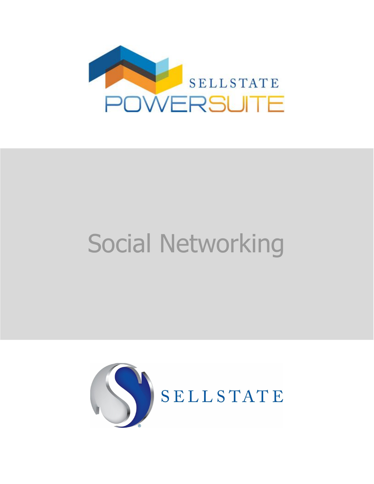

## Social Networking

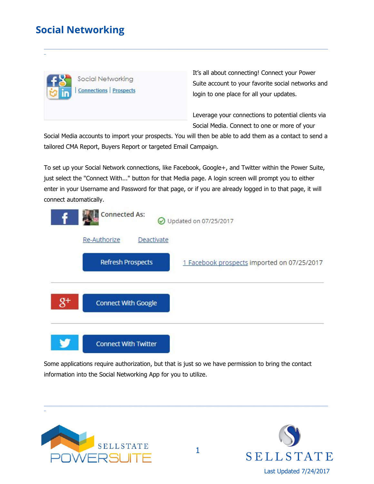## **Social Networking**

\_



It's all about connecting! Connect your Power Suite account to your favorite social networks and login to one place for all your updates.

Leverage your connections to potential clients via Social Media. Connect to one or more of your

Social Media accounts to import your prospects. You will then be able to add them as a contact to send a tailored CMA Report, Buyers Report or targeted Email Campaign.

 $\_$  ,  $\_$  ,  $\_$  ,  $\_$  ,  $\_$  ,  $\_$  ,  $\_$  ,  $\_$  ,  $\_$  ,  $\_$  ,  $\_$  ,  $\_$  ,  $\_$  ,  $\_$  ,  $\_$  ,  $\_$  ,  $\_$  ,  $\_$  ,  $\_$  ,  $\_$  ,  $\_$  ,  $\_$  ,  $\_$  ,  $\_$  ,  $\_$  ,  $\_$  ,  $\_$  ,  $\_$  ,  $\_$  ,  $\_$  ,  $\_$  ,  $\_$  ,  $\_$  ,  $\_$  ,  $\_$  ,  $\_$  ,  $\_$  ,

To set up your Social Network connections, like Facebook, Google+, and Twitter within the Power Suite, just select the "Connect With..." button for that Media page. A login screen will prompt you to either enter in your Username and Password for that page, or if you are already logged in to that page, it will connect automatically.

|           | <b>Connected As:</b><br>Updated on 07/25/2017 |                                             |  |
|-----------|-----------------------------------------------|---------------------------------------------|--|
|           | Re-Authorize<br>Deactivate                    |                                             |  |
|           | <b>Refresh Prospects</b>                      | 1 Facebook prospects imported on 07/25/2017 |  |
|           |                                               |                                             |  |
| $g_{\pm}$ | <b>Connect With Google</b>                    |                                             |  |
|           |                                               |                                             |  |
|           | <b>Connect With Twitter</b>                   |                                             |  |

Some applications require authorization, but that is just so we have permission to bring the contact information into the Social Networking App for you to utilize.

 $\_$  ,  $\_$  ,  $\_$  ,  $\_$  ,  $\_$  ,  $\_$  ,  $\_$  ,  $\_$  ,  $\_$  ,  $\_$  ,  $\_$  ,  $\_$  ,  $\_$  ,  $\_$  ,  $\_$  ,  $\_$  ,  $\_$  ,  $\_$  ,  $\_$  ,  $\_$  ,  $\_$  ,  $\_$  ,  $\_$  ,  $\_$  ,  $\_$  ,  $\_$  ,  $\_$  ,  $\_$  ,  $\_$  ,  $\_$  ,  $\_$  ,  $\_$  ,  $\_$  ,  $\_$  ,  $\_$  ,  $\_$  ,  $\_$  ,



\_